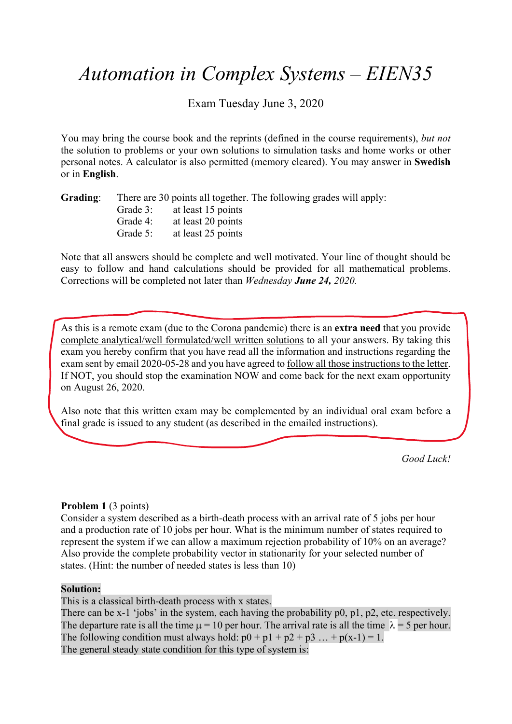# *Automation in Complex Systems – EIEN35*

Exam Tuesday June 3, 2020

You may bring the course book and the reprints (defined in the course requirements), *but not*  the solution to problems or your own solutions to simulation tasks and home works or other personal notes. A calculator is also permitted (memory cleared). You may answer in **Swedish** or in **English**.

| Grading: |          |                             | There are 30 points all together. The following grades will apply: |  |
|----------|----------|-----------------------------|--------------------------------------------------------------------|--|
|          |          | Grade 3: at least 15 points |                                                                    |  |
|          | Grade 4: | at least 20 points          |                                                                    |  |
|          | Grade 5: | at least 25 points          |                                                                    |  |

Note that all answers should be complete and well motivated. Your line of thought should be easy to follow and hand calculations should be provided for all mathematical problems. Corrections will be completed not later than *Wednesday June 24, 2020.* 

As this is a remote exam (due to the Corona pandemic) there is an **extra need** that you provide complete analytical/well formulated/well written solutions to all your answers. By taking this exam you hereby confirm that you have read all the information and instructions regarding the exam sent by email 2020-05-28 and you have agreed to follow all those instructions to the letter. If NOT, you should stop the examination NOW and come back for the next exam opportunity on August 26, 2020.

Also note that this written exam may be complemented by an individual oral exam before a final grade is issued to any student (as described in the emailed instructions).

*Good Luck!* 

## **Problem 1** (3 points)

Consider a system described as a birth-death process with an arrival rate of 5 jobs per hour and a production rate of 10 jobs per hour. What is the minimum number of states required to represent the system if we can allow a maximum rejection probability of 10% on an average? Also provide the complete probability vector in stationarity for your selected number of states. (Hint: the number of needed states is less than 10)

#### **Solution:**

This is a classical birth-death process with x states.

There can be x-1 'jobs' in the system, each having the probability p0, p1, p2, etc. respectively. The departure rate is all the time  $\mu = 10$  per hour. The arrival rate is all the time  $\lambda = 5$  per hour. The following condition must always hold:  $p0 + p1 + p2 + p3 ... + p(x-1) = 1$ . The general steady state condition for this type of system is: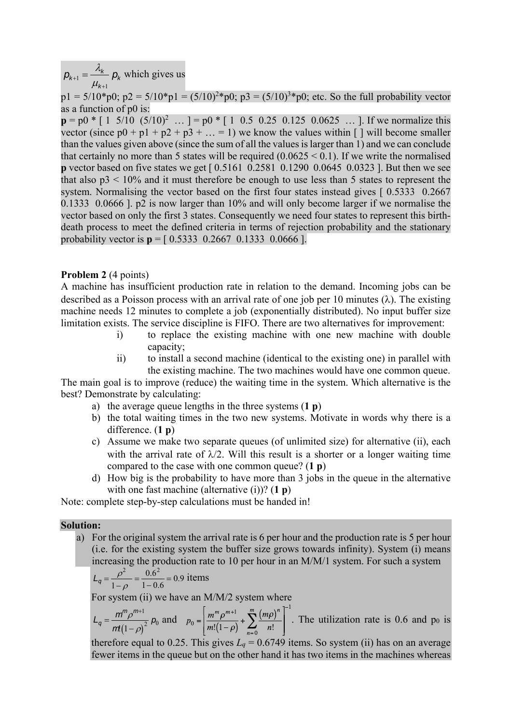$p_{k+1} = \frac{\lambda_k}{\mu_{k+1}} p_k$  which gives us *k* 1

 $p1 = 5/10^{*}p0$ ;  $p2 = 5/10^{*}p1 = (5/10)^{2*}p0$ ;  $p3 = (5/10)^{3*}p0$ ; etc. So the full probability vector as a function of p0 is:

 $p = p0$  \* [ 1 5/10  $(5/10)^2$  ... ] = p0 \* [ 1 0.5 0.25 0.125 0.0625 ... ]. If we normalize this vector (since  $p0 + p1 + p2 + p3 + ... = 1$ ) we know the values within [ ] will become smaller than the values given above (since the sum of all the values is larger than 1) and we can conclude that certainly no more than 5 states will be required  $(0.0625 \le 0.1)$ . If we write the normalised **p** vector based on five states we get [  $0.5161$  0.2581 0.1290 0.0645 0.0323 ]. But then we see that also  $p3 < 10\%$  and it must therefore be enough to use less than 5 states to represent the system. Normalising the vector based on the first four states instead gives [0.5333 0.2667] 0.1333 0.0666 ]. p2 is now larger than 10% and will only become larger if we normalise the vector based on only the first 3 states. Consequently we need four states to represent this birthdeath process to meet the defined criteria in terms of rejection probability and the stationary probability vector is  $p = [0.5333 \ 0.2667 \ 0.1333 \ 0.0666]$ .

#### **Problem 2** (4 points)

A machine has insufficient production rate in relation to the demand. Incoming jobs can be described as a Poisson process with an arrival rate of one job per 10 minutes  $(\lambda)$ . The existing machine needs 12 minutes to complete a job (exponentially distributed). No input buffer size limitation exists. The service discipline is FIFO. There are two alternatives for improvement:

- i) to replace the existing machine with one new machine with double capacity;
- ii) to install a second machine (identical to the existing one) in parallel with the existing machine. The two machines would have one common queue.

The main goal is to improve (reduce) the waiting time in the system. Which alternative is the best? Demonstrate by calculating:

- a) the average queue lengths in the three systems (**1 p**)
- b) the total waiting times in the two new systems. Motivate in words why there is a difference. (**1 p**)
- c) Assume we make two separate queues (of unlimited size) for alternative (ii), each with the arrival rate of  $\lambda/2$ . Will this result is a shorter or a longer waiting time compared to the case with one common queue? (**1 p**)
- d) How big is the probability to have more than 3 jobs in the queue in the alternative with one fast machine (alternative (i))? (**1 p**)

Note: complete step-by-step calculations must be handed in!

#### **Solution:**

a) For the original system the arrival rate is 6 per hour and the production rate is 5 per hour (i.e. for the existing system the buffer size grows towards infinity). System (i) means increasing the production rate to 10 per hour in an M/M/1 system. For such a system

$$
L_q = \frac{\rho^2}{1 - \rho} = \frac{0.6^2}{1 - 0.6} = 0.9 \text{ items}
$$

For system (ii) we have an M/M/2 system where

$$
L_q = \frac{m^m \rho^{m+1}}{m(1-\rho)^2} p_0 \text{ and } p_0 = \left[ \frac{m^m \rho^{m+1}}{m!(1-\rho)} + \sum_{n=0}^m \frac{(m\rho)^n}{n!} \right]^{-1}
$$
. The utilization rate is 0.6 and p<sub>0</sub> is

therefore equal to 0.25. This gives  $L_q = 0.6749$  items. So system (ii) has on an average fewer items in the queue but on the other hand it has two items in the machines whereas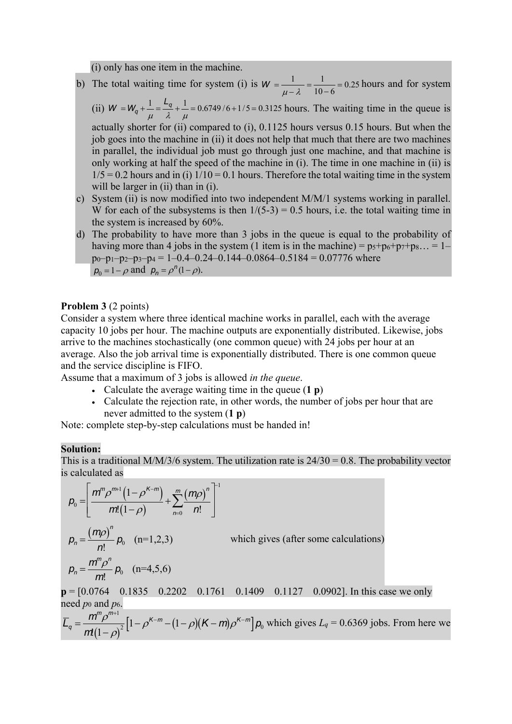(i) only has one item in the machine.

- b) The total waiting time for system (i) is  $W = \frac{1}{\mu \lambda} = \frac{1}{10 6} = 0.25$  hours and for system
	- (ii)  $W = W_q + \frac{1}{q}$  $\mu$  $=\frac{L_q}{\lambda}+\frac{1}{\mu}$  $\frac{1}{\mu}$  = 0.6749/6+1/5 = 0.3125 hours. The waiting time in the queue is actually shorter for (ii) compared to (i), 0.1125 hours versus 0.15 hours. But when the

job goes into the machine in (ii) it does not help that much that there are two machines in parallel, the individual job must go through just one machine, and that machine is only working at half the speed of the machine in (i). The time in one machine in (ii) is  $1/5 = 0.2$  hours and in (i)  $1/10 = 0.1$  hours. Therefore the total waiting time in the system will be larger in (ii) than in (i).

- c) System (ii) is now modified into two independent M/M/1 systems working in parallel. W for each of the subsystems is then  $1/(5-3) = 0.5$  hours, i.e. the total waiting time in the system is increased by 60%.
- d) The probability to have more than 3 jobs in the queue is equal to the probability of having more than 4 jobs in the system (1 item is in the machine) =  $p_5+p_6+p_7+p_8... = 1$  $p_0-p_1-p_2-p_3-p_4 = 1-0.4-0.24-0.144-0.0864-0.5184 = 0.07776$  where  $p_0 = 1 - \rho$  and  $p_n = \rho^n (1 - \rho)$ .

## **Problem 3** (2 points)

Consider a system where three identical machine works in parallel, each with the average capacity 10 jobs per hour. The machine outputs are exponentially distributed. Likewise, jobs arrive to the machines stochastically (one common queue) with 24 jobs per hour at an average. Also the job arrival time is exponentially distributed. There is one common queue and the service discipline is FIFO.

Assume that a maximum of 3 jobs is allowed *in the queue*.

- Calculate the average waiting time in the queue (**1 p**)
- Calculate the rejection rate, in other words, the number of jobs per hour that are never admitted to the system (**1 p**)

Note: complete step-by-step calculations must be handed in!

#### **Solution:**

This is a traditional M/M/3/6 system. The utilization rate is  $24/30 = 0.8$ . The probability vector is calculated as

$$
\rho_0 = \left[ \frac{m^n \rho^{m+1} (1 - \rho^{K-m})}{m! (1 - \rho)} + \sum_{n=0}^{m} \frac{(m \rho)^n}{n!} \right]^1
$$
\n
$$
\rho_n = \frac{(m \rho)^n}{n!} \rho_0 \quad (n = 1, 2, 3) \qquad \text{which gives (after some calculations)}
$$
\n
$$
\rho_n = \frac{m^n \rho^n}{m!} \rho_0 \quad (n = 4, 5, 6)
$$
\n
$$
\mathbf{p} = [0.0764 \quad 0.1835 \quad 0.2202 \quad 0.1761 \quad 0.1409 \quad 0.1127 \quad 0.0902]. \text{ In this case we only need } p_0 \text{ and } p_6.
$$
\n
$$
\overline{L}_q = \frac{m^n \rho^{m+1}}{m (1 - \rho)^2} [1 - \rho^{K-m} - (1 - \rho)(K - m) \rho^{K-m}] \rho_0 \text{ which gives } L_q = 0.6369 \text{ jobs. From here we}
$$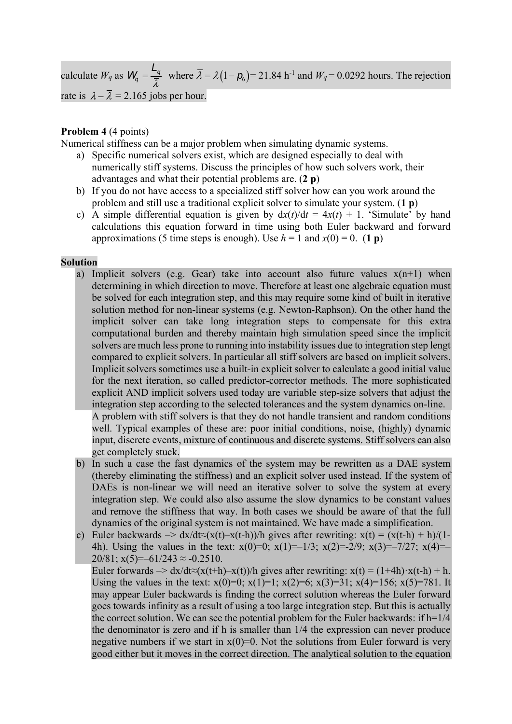calculate  $W_q$  as  $W_q = \frac{\overline{L}_q}{\overline{\lambda}}$  where  $\overline{\lambda} = \lambda (1 - \rho_6) = 21.84 \text{ h}^{-1}$  and  $W_q = 0.0292 \text{ hours}$ . The rejection rate is  $\lambda - \overline{\lambda} = 2.165$  jobs per hour.

# **Problem 4** (4 points)

Numerical stiffness can be a major problem when simulating dynamic systems.

- a) Specific numerical solvers exist, which are designed especially to deal with numerically stiff systems. Discuss the principles of how such solvers work, their advantages and what their potential problems are. (**2 p**)
- b) If you do not have access to a specialized stiff solver how can you work around the problem and still use a traditional explicit solver to simulate your system. (**1 p**)
- c) A simple differential equation is given by  $dx(t)/dt = 4x(t) + 1$ . 'Simulate' by hand calculations this equation forward in time using both Euler backward and forward approximations (5 time steps is enough). Use  $h = 1$  and  $x(0) = 0$ . (1 p)

## **Solution**

- a) Implicit solvers (e.g. Gear) take into account also future values  $x(n+1)$  when determining in which direction to move. Therefore at least one algebraic equation must be solved for each integration step, and this may require some kind of built in iterative solution method for non-linear systems (e.g. Newton-Raphson). On the other hand the implicit solver can take long integration steps to compensate for this extra computational burden and thereby maintain high simulation speed since the implicit solvers are much less prone to running into instability issues due to integration step lengt compared to explicit solvers. In particular all stiff solvers are based on implicit solvers. Implicit solvers sometimes use a built-in explicit solver to calculate a good initial value for the next iteration, so called predictor-corrector methods. The more sophisticated explicit AND implicit solvers used today are variable step-size solvers that adjust the integration step according to the selected tolerances and the system dynamics on-line. A problem with stiff solvers is that they do not handle transient and random conditions well. Typical examples of these are: poor initial conditions, noise, (highly) dynamic input, discrete events, mixture of continuous and discrete systems. Stiff solvers can also get completely stuck.
- b) In such a case the fast dynamics of the system may be rewritten as a DAE system (thereby eliminating the stiffness) and an explicit solver used instead. If the system of DAEs is non-linear we will need an iterative solver to solve the system at every integration step. We could also also assume the slow dynamics to be constant values and remove the stiffness that way. In both cases we should be aware of that the full dynamics of the original system is not maintained. We have made a simplification.
- c) Euler backwards  $\rightarrow dx/dt \approx (x(t)-x(t-h))/h$  gives after rewriting:  $x(t) = (x(t-h) + h)/(1-t)/h$ 4h). Using the values in the text:  $x(0)=0$ ;  $x(1)=-1/3$ ;  $x(2)=-2/9$ ;  $x(3)=-7/27$ ;  $x(4)=-$ 20/81;  $x(5) = -61/243 \approx -0.2510$ .

Euler forwards  $\Rightarrow$  dx/dt≈(x(t+h)–x(t))/h gives after rewriting: x(t) = (1+4h) $\cdot$ x(t-h) + h. Using the values in the text:  $x(0)=0$ ;  $x(1)=1$ ;  $x(2)=6$ ;  $x(3)=31$ ;  $x(4)=156$ ;  $x(5)=781$ . It may appear Euler backwards is finding the correct solution whereas the Euler forward goes towards infinity as a result of using a too large integration step. But this is actually the correct solution. We can see the potential problem for the Euler backwards: if  $h=1/4$ the denominator is zero and if h is smaller than 1/4 the expression can never produce negative numbers if we start in  $x(0)=0$ . Not the solutions from Euler forward is very good either but it moves in the correct direction. The analytical solution to the equation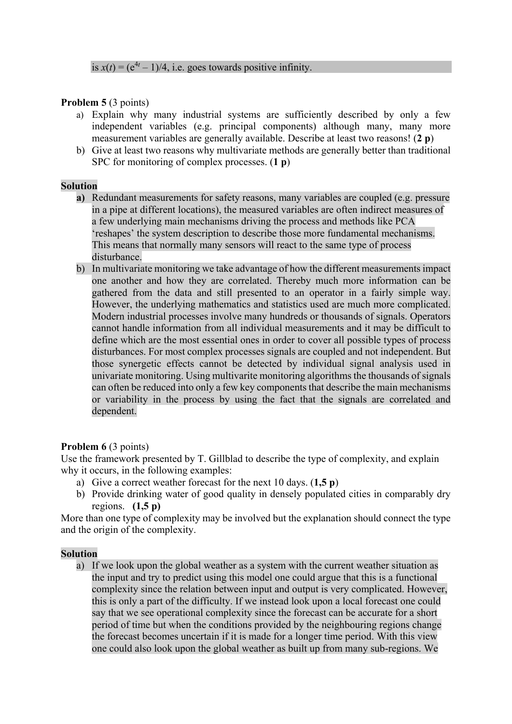## **Problem 5** (3 points)

- a) Explain why many industrial systems are sufficiently described by only a few independent variables (e.g. principal components) although many, many more measurement variables are generally available. Describe at least two reasons! (**2 p**)
- b) Give at least two reasons why multivariate methods are generally better than traditional SPC for monitoring of complex processes. (**1 p**)

## **Solution**

- **a)** Redundant measurements for safety reasons, many variables are coupled (e.g. pressure in a pipe at different locations), the measured variables are often indirect measures of a few underlying main mechanisms driving the process and methods like PCA 'reshapes' the system description to describe those more fundamental mechanisms. This means that normally many sensors will react to the same type of process disturbance.
- b) In multivariate monitoring we take advantage of how the different measurements impact one another and how they are correlated. Thereby much more information can be gathered from the data and still presented to an operator in a fairly simple way. However, the underlying mathematics and statistics used are much more complicated. Modern industrial processes involve many hundreds or thousands of signals. Operators cannot handle information from all individual measurements and it may be difficult to define which are the most essential ones in order to cover all possible types of process disturbances. For most complex processes signals are coupled and not independent. But those synergetic effects cannot be detected by individual signal analysis used in univariate monitoring. Using multivarite monitoring algorithms the thousands of signals can often be reduced into only a few key components that describe the main mechanisms or variability in the process by using the fact that the signals are correlated and dependent.

# **Problem 6 (3 points)**

Use the framework presented by T. Gillblad to describe the type of complexity, and explain why it occurs, in the following examples:

- a) Give a correct weather forecast for the next 10 days. (**1,5 p**)
- b) Provide drinking water of good quality in densely populated cities in comparably dry regions. **(1,5 p)**

More than one type of complexity may be involved but the explanation should connect the type and the origin of the complexity.

## **Solution**

a) If we look upon the global weather as a system with the current weather situation as the input and try to predict using this model one could argue that this is a functional complexity since the relation between input and output is very complicated. However, this is only a part of the difficulty. If we instead look upon a local forecast one could say that we see operational complexity since the forecast can be accurate for a short period of time but when the conditions provided by the neighbouring regions change the forecast becomes uncertain if it is made for a longer time period. With this view one could also look upon the global weather as built up from many sub-regions. We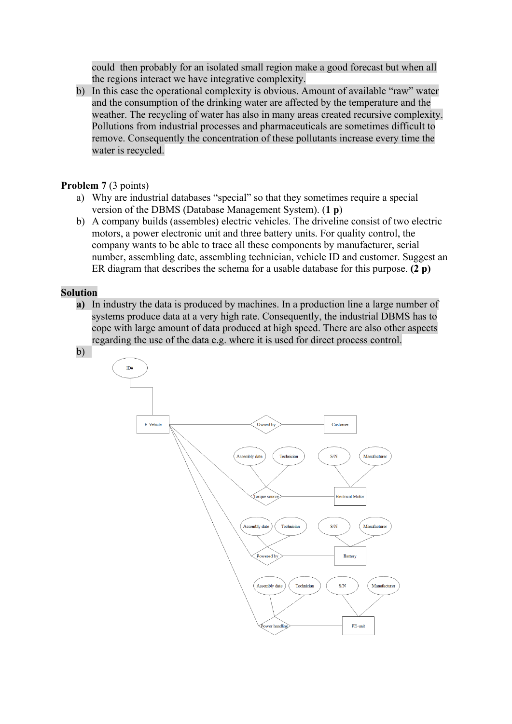could then probably for an isolated small region make a good forecast but when all the regions interact we have integrative complexity.

b) In this case the operational complexity is obvious. Amount of available "raw" water and the consumption of the drinking water are affected by the temperature and the weather. The recycling of water has also in many areas created recursive complexity. Pollutions from industrial processes and pharmaceuticals are sometimes difficult to remove. Consequently the concentration of these pollutants increase every time the water is recycled.

## **Problem 7** (3 points)

- a) Why are industrial databases "special" so that they sometimes require a special version of the DBMS (Database Management System). (**1 p**)
- b) A company builds (assembles) electric vehicles. The driveline consist of two electric motors, a power electronic unit and three battery units. For quality control, the company wants to be able to trace all these components by manufacturer, serial number, assembling date, assembling technician, vehicle ID and customer. Suggest an ER diagram that describes the schema for a usable database for this purpose. **(2 p)**

#### **Solution**

**a)** In industry the data is produced by machines. In a production line a large number of systems produce data at a very high rate. Consequently, the industrial DBMS has to cope with large amount of data produced at high speed. There are also other aspects regarding the use of the data e.g. where it is used for direct process control.

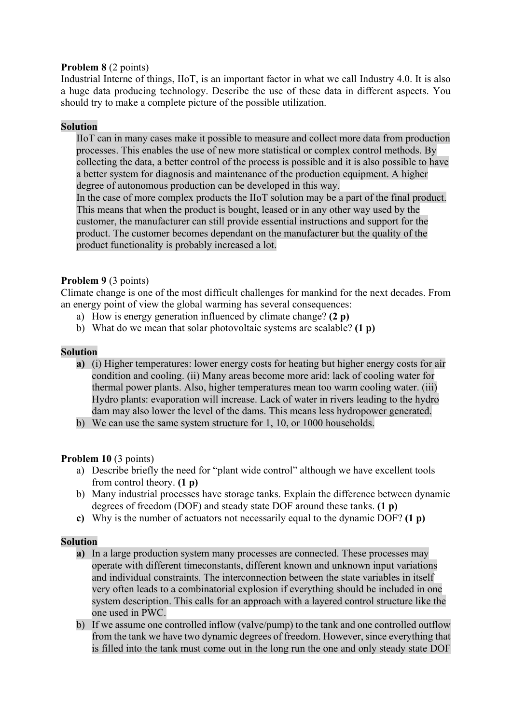# **Problem 8** (2 points)

Industrial Interne of things, IIoT, is an important factor in what we call Industry 4.0. It is also a huge data producing technology. Describe the use of these data in different aspects. You should try to make a complete picture of the possible utilization.

# **Solution**

IIoT can in many cases make it possible to measure and collect more data from production processes. This enables the use of new more statistical or complex control methods. By collecting the data, a better control of the process is possible and it is also possible to have a better system for diagnosis and maintenance of the production equipment. A higher degree of autonomous production can be developed in this way.

In the case of more complex products the IIoT solution may be a part of the final product. This means that when the product is bought, leased or in any other way used by the customer, the manufacturer can still provide essential instructions and support for the product. The customer becomes dependant on the manufacturer but the quality of the product functionality is probably increased a lot.

## **Problem 9** (3 points)

Climate change is one of the most difficult challenges for mankind for the next decades. From an energy point of view the global warming has several consequences:

- a) How is energy generation influenced by climate change? **(2 p)**
- b) What do we mean that solar photovoltaic systems are scalable? **(1 p)**

## **Solution**

- **a)** (i) Higher temperatures: lower energy costs for heating but higher energy costs for air condition and cooling. (ii) Many areas become more arid: lack of cooling water for thermal power plants. Also, higher temperatures mean too warm cooling water. (iii) Hydro plants: evaporation will increase. Lack of water in rivers leading to the hydro dam may also lower the level of the dams. This means less hydropower generated.
- b) We can use the same system structure for 1, 10, or 1000 households.

# **Problem 10** (3 points)

- a) Describe briefly the need for "plant wide control" although we have excellent tools from control theory. **(1 p)**
- b) Many industrial processes have storage tanks. Explain the difference between dynamic degrees of freedom (DOF) and steady state DOF around these tanks. **(1 p)**
- **c)** Why is the number of actuators not necessarily equal to the dynamic DOF? **(1 p)**

## **Solution**

- **a)** In a large production system many processes are connected. These processes may operate with different timeconstants, different known and unknown input variations and individual constraints. The interconnection between the state variables in itself very often leads to a combinatorial explosion if everything should be included in one system description. This calls for an approach with a layered control structure like the one used in PWC.
- b) If we assume one controlled inflow (valve/pump) to the tank and one controlled outflow from the tank we have two dynamic degrees of freedom. However, since everything that is filled into the tank must come out in the long run the one and only steady state DOF